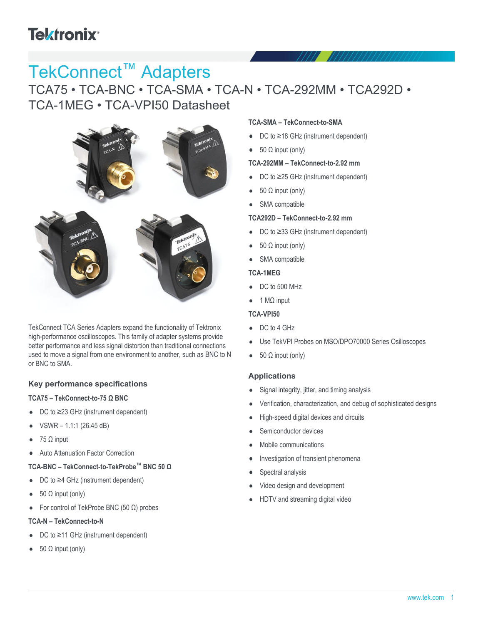# **Tektronix®**

# TekConnect™ Adapters

TCA75 • TCA-BNC • TCA-SMA • TCA-N • TCA-292MM • TCA292D • TCA-1MEG • TCA-VPI50 Datasheet



TekConnect TCA Series Adapters expand the functionality of Tektronix high-performance oscilloscopes. This family of adapter systems provide better performance and less signal distortion than traditional connections used to move a signal from one environment to another, such as BNC to N or BNC to SMA.

### **Key performance specifications**

#### **TCA75 – TekConnect-to-75 Ω BNC**

- DC to ≥23 GHz (instrument dependent)  $\bullet$
- VSWR 1.1:1 (26.45 dB)
- 75 Ω input  $\bullet$
- Auto Attenuation Factor Correction  $\bullet$

### **TCA-BNC – TekConnect-to-TekProbe™ BNC 50 Ω**

- DC to ≥4 GHz (instrument dependent)
- 50 Ω input (only)  $\bullet$
- For control of TekProbe BNC (50 Ω) probes  $\bullet$

#### **TCA-N – TekConnect-to-N**

- DC to ≥11 GHz (instrument dependent)  $\bullet$
- 50 Ω input (only)

#### **TCA-SMA – TekConnect-to-SMA**

- DC to ≥18 GHz (instrument dependent)  $\bullet$
- $\bullet$  50  $\Omega$  input (only)

#### **TCA-292MM – TekConnect-to-2.92 mm**

- DC to ≥25 GHz (instrument dependent)  $\bullet$
- 50 Ω input (only)  $\bullet$
- SMA compatible  $\bullet$

#### **TCA292D – TekConnect-to-2.92 mm**

- DC to ≥33 GHz (instrument dependent)
- 50 Ω input (only)
- SMA compatible

#### **TCA-1MEG**

- DC to 500 MHz
- 1 MΩ input

### **TCA-VPI50**

- DC to 4 GHz
- Use TekVPI Probes on MSO/DPO70000 Series Osilloscopes
- 50 Ω input (only)

### **Applications**

- Signal integrity, jitter, and timing analysis
- Verification, characterization, and debug of sophisticated designs
- High-speed digital devices and circuits
- Semiconductor devices
- Mobile communications
- Investigation of transient phenomena
- Spectral analysis
- Video design and development
- HDTV and streaming digital video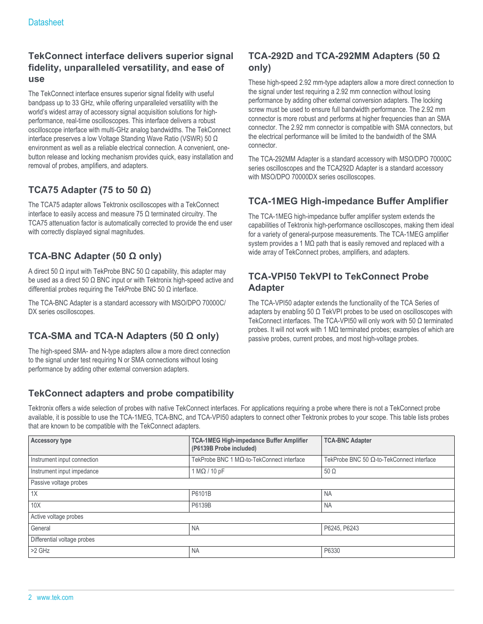### **TekConnect interface delivers superior signal fidelity, unparalleled versatility, and ease of use**

The TekConnect interface ensures superior signal fidelity with useful bandpass up to 33 GHz, while offering unparalleled versatility with the world's widest array of accessory signal acquisition solutions for highperformance, real-time oscilloscopes. This interface delivers a robust oscilloscope interface with multi-GHz analog bandwidths. The TekConnect interface preserves a low Voltage Standing Wave Ratio (VSWR) 50 Ω environment as well as a reliable electrical connection. A convenient, onebutton release and locking mechanism provides quick, easy installation and removal of probes, amplifiers, and adapters.

### **TCA75 Adapter (75 to 50 Ω)**

The TCA75 adapter allows Tektronix oscilloscopes with a TekConnect interface to easily access and measure 75 Ω terminated circuitry. The TCA75 attenuation factor is automatically corrected to provide the end user with correctly displayed signal magnitudes.

### **TCA-BNC Adapter (50 Ω only)**

A direct 50  $\Omega$  input with TekProbe BNC 50  $\Omega$  capability, this adapter may be used as a direct 50 Ω BNC input or with Tektronix high-speed active and differential probes requiring the TekProbe BNC 50 Ω interface.

The TCA-BNC Adapter is a standard accessory with MSO/DPO 70000C/ DX series oscilloscopes.

### **TCA-SMA and TCA-N Adapters (50 Ω only)**

The high-speed SMA- and N-type adapters allow a more direct connection to the signal under test requiring N or SMA connections without losing performance by adding other external conversion adapters.

### **TekConnect adapters and probe compatibility**

### **TCA-292D and TCA-292MM Adapters (50 Ω only)**

These high-speed 2.92 mm-type adapters allow a more direct connection to the signal under test requiring a 2.92 mm connection without losing performance by adding other external conversion adapters. The locking screw must be used to ensure full bandwidth performance. The 2.92 mm connector is more robust and performs at higher frequencies than an SMA connector. The 2.92 mm connector is compatible with SMA connectors, but the electrical performance will be limited to the bandwidth of the SMA connector.

The TCA-292MM Adapter is a standard accessory with MSO/DPO 70000C series oscilloscopes and the TCA292D Adapter is a standard accessory with MSO/DPO 70000DX series oscilloscopes.

### **TCA-1MEG High-impedance Buffer Amplifier**

The TCA-1MEG high-impedance buffer amplifier system extends the capabilities of Tektronix high-performance oscilloscopes, making them ideal for a variety of general-purpose measurements. The TCA-1MEG amplifier system provides a 1 MΩ path that is easily removed and replaced with a wide array of TekConnect probes, amplifiers, and adapters.

### **TCA-VPI50 TekVPI to TekConnect Probe Adapter**

The TCA-VPI50 adapter extends the functionality of the TCA Series of adapters by enabling 50  $\Omega$  TekVPI probes to be used on oscilloscopes with TekConnect interfaces. The TCA-VPI50 will only work with 50 Ω terminated probes. It will not work with 1 MΩ terminated probes; examples of which are passive probes, current probes, and most high-voltage probes.

Tektronix offers a wide selection of probes with native TekConnect interfaces. For applications requiring a probe where there is not a TekConnect probe available, it is possible to use the TCA-1MEG, TCA-BNC, and TCA-VPI50 adapters to connect other Tektronix probes to your scope. This table lists probes that are known to be compatible with the TekConnect adapters.

| <b>Accessory type</b>       | <b>TCA-1MEG High-impedance Buffer Amplifier</b><br>(P6139B Probe included) | <b>TCA-BNC Adapter</b>                            |  |  |  |
|-----------------------------|----------------------------------------------------------------------------|---------------------------------------------------|--|--|--|
| Instrument input connection | TekProbe BNC 1 MΩ-to-TekConnect interface                                  | TekProbe BNC 50 $\Omega$ -to-TekConnect interface |  |  |  |
| Instrument input impedance  | $1 M\Omega / 10 pF$                                                        | $50\Omega$                                        |  |  |  |
| Passive voltage probes      |                                                                            |                                                   |  |  |  |
| 1X                          | P6101B                                                                     | <b>NA</b>                                         |  |  |  |
| 10X                         | P6139B                                                                     | <b>NA</b>                                         |  |  |  |
| Active voltage probes       |                                                                            |                                                   |  |  |  |
| General                     | <b>NA</b>                                                                  | P6245, P6243                                      |  |  |  |
| Differential voltage probes |                                                                            |                                                   |  |  |  |
| $>2$ GHz                    | <b>NA</b>                                                                  | P6330                                             |  |  |  |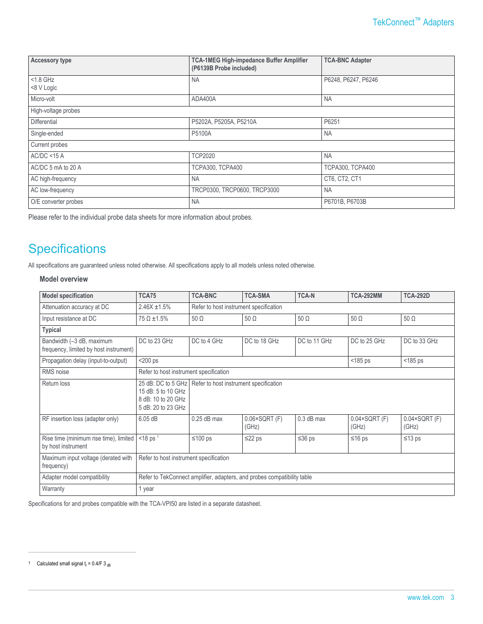| <b>Accessory type</b>     | <b>TCA-1MEG High-impedance Buffer Amplifier</b><br>(P6139B Probe included) | <b>TCA-BNC Adapter</b>  |  |  |
|---------------------------|----------------------------------------------------------------------------|-------------------------|--|--|
| $<$ 1.8 GHz<br><8 V Logic | <b>NA</b>                                                                  | P6248, P6247, P6246     |  |  |
| Micro-volt                | ADA400A                                                                    | <b>NA</b>               |  |  |
| High-voltage probes       |                                                                            |                         |  |  |
| <b>Differential</b>       | P5202A, P5205A, P5210A                                                     | P6251                   |  |  |
| Single-ended              | P5100A                                                                     | <b>NA</b>               |  |  |
| Current probes            |                                                                            |                         |  |  |
| AC/DC < 15 A              | <b>TCP2020</b>                                                             | <b>NA</b>               |  |  |
| AC/DC 5 mA to 20 A        | <b>TCPA300, TCPA400</b>                                                    | <b>TCPA300, TCPA400</b> |  |  |
| AC high-frequency         | <b>NA</b>                                                                  | CT6, CT2, CT1           |  |  |
| AC low-frequency          | TRCP0300, TRCP0600, TRCP3000                                               | <b>NA</b>               |  |  |
| O/E converter probes      | <b>NA</b>                                                                  | P6701B, P6703B          |  |  |

Please refer to the individual probe data sheets for more information about probes.

## **Specifications**

All specifications are guaranteed unless noted otherwise. All specifications apply to all models unless noted otherwise.

#### **Model overview**

| <b>Model specification</b>                                          | <b>TCA75</b>                                                                                                                   | <b>TCA-BNC</b>                         | <b>TCA-SMA</b>                         | <b>TCA-N</b> | <b>TCA-292MM</b>                  | <b>TCA-292D</b>                   |
|---------------------------------------------------------------------|--------------------------------------------------------------------------------------------------------------------------------|----------------------------------------|----------------------------------------|--------------|-----------------------------------|-----------------------------------|
| Attenuation accuracy at DC                                          | $2.46X + 1.5%$                                                                                                                 | Refer to host instrument specification |                                        |              |                                   |                                   |
| Input resistance at DC                                              | $75 \Omega \pm 1.5\%$                                                                                                          | $50 \Omega$                            | $50 \Omega$                            | $50 \Omega$  | $50 \Omega$                       | $50 \Omega$                       |
| <b>Typical</b>                                                      |                                                                                                                                |                                        |                                        |              |                                   |                                   |
| Bandwidth (-3 dB, maximum<br>frequency, limited by host instrument) | DC to 23 GHz                                                                                                                   | DC to 4 GHz                            | DC to 18 GHz                           | DC to 11 GHz | DC to 25 GHz                      | DC to 33 GHz                      |
| Propagation delay (input-to-output)                                 | $<$ 200 ps                                                                                                                     |                                        |                                        |              | $<$ 185 ps                        | $<$ 185 ps                        |
| RMS noise                                                           | Refer to host instrument specification                                                                                         |                                        |                                        |              |                                   |                                   |
| Return loss                                                         | 25 dB: DC to 5 GHz<br>Refer to host instrument specification<br>15 dB: 5 to 10 GHz<br>8 dB: 10 to 20 GHz<br>5 dB: 20 to 23 GHz |                                        |                                        |              |                                   |                                   |
| RF insertion loss (adapter only)                                    | 6.05 dB                                                                                                                        | $0.25$ dB max                          | $0.06 \times \text{SGRT}$ (F)<br>(GHz) | $0.3$ dB max | $0.04 \times$ SQRT $(F)$<br>(GHz) | $0.04 \times$ SQRT $(F)$<br>(GHz) |
| Rise time (minimum rise time), limited<br>by host instrument        | $<$ 18 ps <sup>1</sup>                                                                                                         | $≤100$ ps                              | $\leq$ 22 ps                           | $\leq$ 36 ps | $≤16$ ps                          | $≤13$ ps                          |
| Maximum input voltage (derated with<br>frequency)                   | Refer to host instrument specification                                                                                         |                                        |                                        |              |                                   |                                   |
| Adapter model compatibility                                         | Refer to TekConnect amplifier, adapters, and probes compatibility table                                                        |                                        |                                        |              |                                   |                                   |
| Warranty                                                            | 1 year                                                                                                                         |                                        |                                        |              |                                   |                                   |

Specifications for and probes compatible with the TCA-VPI50 are listed in a separate datasheet.

<sup>1</sup> Calculated small signal  $t_r = 0.4$ /F 3  $_{dB}$